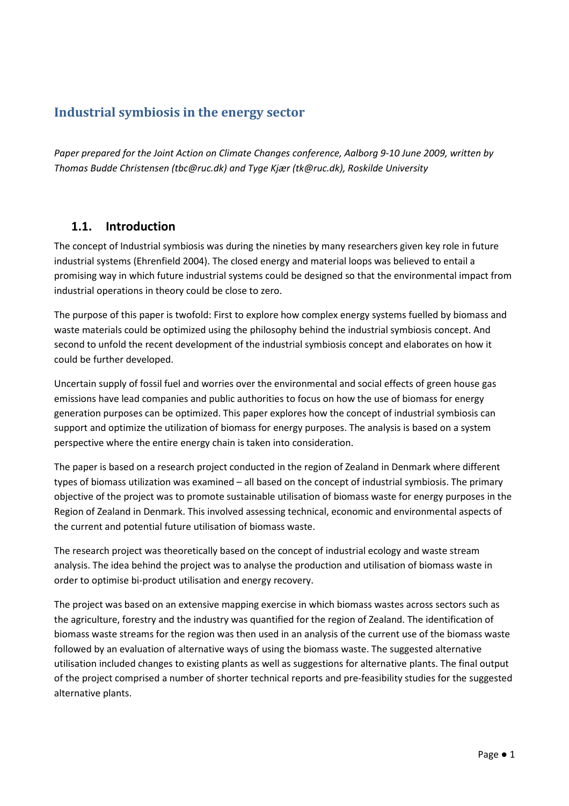# Industrial symbiosis in the energy sector

Paper prepared for the Joint Action on Climate Changes conference, Aalborg 9-10 June 2009, written by Thomas Budde Christensen (tbc@ruc.dk) and Tyge Kjær (tk@ruc.dk), Roskilde University

### 1.1. Introduction

The concept of Industrial symbiosis was during the nineties by many researchers given key role in future industrial systems (Ehrenfield 2004). The closed energy and material loops was believed to entail a promising way in which future industrial systems could be designed so that the environmental impact from industrial operations in theory could be close to zero.

The purpose of this paper is twofold: First to explore how complex energy systems fuelled by biomass and waste materials could be optimized using the philosophy behind the industrial symbiosis concept. And second to unfold the recent development of the industrial symbiosis concept and elaborates on how it could be further developed.

Uncertain supply of fossil fuel and worries over the environmental and social effects of green house gas emissions have lead companies and public authorities to focus on how the use of biomass for energy generation purposes can be optimized. This paper explores how the concept of industrial symbiosis can support and optimize the utilization of biomass for energy purposes. The analysis is based on a system perspective where the entire energy chain is taken into consideration.

The paper is based on a research project conducted in the region of Zealand in Denmark where different types of biomass utilization was examined – all based on the concept of industrial symbiosis. The primary objective of the project was to promote sustainable utilisation of biomass waste for energy purposes in the Region of Zealand in Denmark. This involved assessing technical, economic and environmental aspects of the current and potential future utilisation of biomass waste.

The research project was theoretically based on the concept of industrial ecology and waste stream analysis. The idea behind the project was to analyse the production and utilisation of biomass waste in order to optimise bi-product utilisation and energy recovery.

The project was based on an extensive mapping exercise in which biomass wastes across sectors such as the agriculture, forestry and the industry was quantified for the region of Zealand. The identification of biomass waste streams for the region was then used in an analysis of the current use of the biomass waste followed by an evaluation of alternative ways of using the biomass waste. The suggested alternative utilisation included changes to existing plants as well as suggestions for alternative plants. The final output of the project comprised a number of shorter technical reports and pre-feasibility studies for the suggested alternative plants.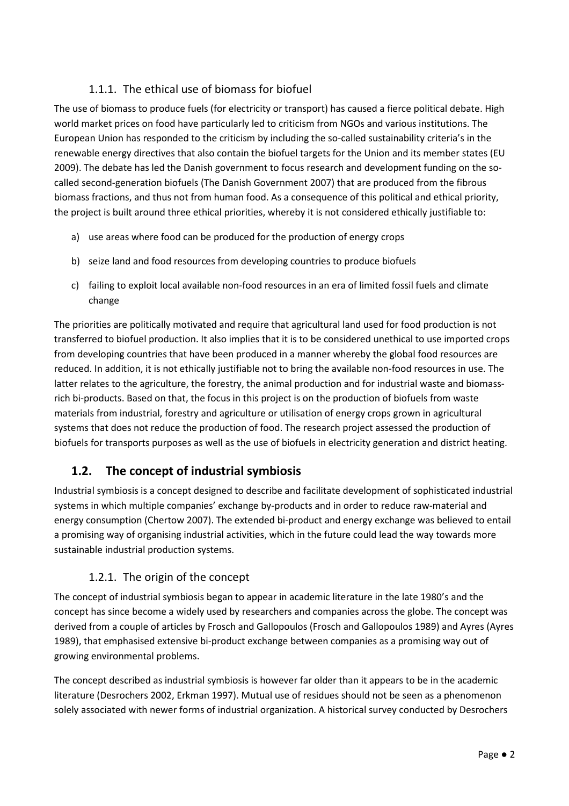# 1.1.1. The ethical use of biomass for biofuel

The use of biomass to produce fuels (for electricity or transport) has caused a fierce political debate. High world market prices on food have particularly led to criticism from NGOs and various institutions. The European Union has responded to the criticism by including the so-called sustainability criteria's in the renewable energy directives that also contain the biofuel targets for the Union and its member states (EU 2009). The debate has led the Danish government to focus research and development funding on the socalled second-generation biofuels (The Danish Government 2007) that are produced from the fibrous biomass fractions, and thus not from human food. As a consequence of this political and ethical priority, the project is built around three ethical priorities, whereby it is not considered ethically justifiable to:

- a) use areas where food can be produced for the production of energy crops
- b) seize land and food resources from developing countries to produce biofuels
- c) failing to exploit local available non-food resources in an era of limited fossil fuels and climate change

The priorities are politically motivated and require that agricultural land used for food production is not transferred to biofuel production. It also implies that it is to be considered unethical to use imported crops from developing countries that have been produced in a manner whereby the global food resources are reduced. In addition, it is not ethically justifiable not to bring the available non-food resources in use. The latter relates to the agriculture, the forestry, the animal production and for industrial waste and biomassrich bi-products. Based on that, the focus in this project is on the production of biofuels from waste materials from industrial, forestry and agriculture or utilisation of energy crops grown in agricultural systems that does not reduce the production of food. The research project assessed the production of biofuels for transports purposes as well as the use of biofuels in electricity generation and district heating.

# 1.2. The concept of industrial symbiosis

Industrial symbiosis is a concept designed to describe and facilitate development of sophisticated industrial systems in which multiple companies' exchange by-products and in order to reduce raw-material and energy consumption (Chertow 2007). The extended bi-product and energy exchange was believed to entail a promising way of organising industrial activities, which in the future could lead the way towards more sustainable industrial production systems.

# 1.2.1. The origin of the concept

The concept of industrial symbiosis began to appear in academic literature in the late 1980's and the concept has since become a widely used by researchers and companies across the globe. The concept was derived from a couple of articles by Frosch and Gallopoulos (Frosch and Gallopoulos 1989) and Ayres (Ayres 1989), that emphasised extensive bi-product exchange between companies as a promising way out of growing environmental problems.

The concept described as industrial symbiosis is however far older than it appears to be in the academic literature (Desrochers 2002, Erkman 1997). Mutual use of residues should not be seen as a phenomenon solely associated with newer forms of industrial organization. A historical survey conducted by Desrochers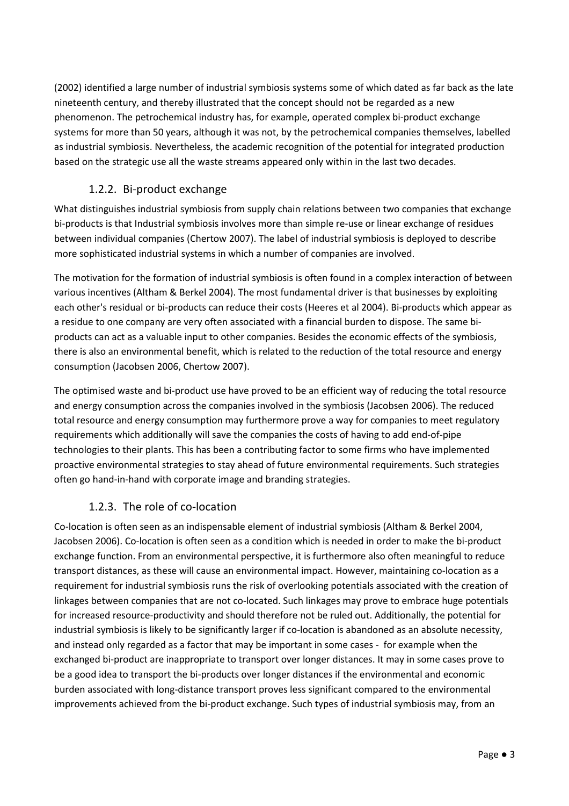(2002) identified a large number of industrial symbiosis systems some of which dated as far back as the late nineteenth century, and thereby illustrated that the concept should not be regarded as a new phenomenon. The petrochemical industry has, for example, operated complex bi-product exchange systems for more than 50 years, although it was not, by the petrochemical companies themselves, labelled as industrial symbiosis. Nevertheless, the academic recognition of the potential for integrated production based on the strategic use all the waste streams appeared only within in the last two decades.

## 1.2.2. Bi-product exchange

What distinguishes industrial symbiosis from supply chain relations between two companies that exchange bi-products is that Industrial symbiosis involves more than simple re-use or linear exchange of residues between individual companies (Chertow 2007). The label of industrial symbiosis is deployed to describe more sophisticated industrial systems in which a number of companies are involved.

The motivation for the formation of industrial symbiosis is often found in a complex interaction of between various incentives (Altham & Berkel 2004). The most fundamental driver is that businesses by exploiting each other's residual or bi-products can reduce their costs (Heeres et al 2004). Bi-products which appear as a residue to one company are very often associated with a financial burden to dispose. The same biproducts can act as a valuable input to other companies. Besides the economic effects of the symbiosis, there is also an environmental benefit, which is related to the reduction of the total resource and energy consumption (Jacobsen 2006, Chertow 2007).

The optimised waste and bi-product use have proved to be an efficient way of reducing the total resource and energy consumption across the companies involved in the symbiosis (Jacobsen 2006). The reduced total resource and energy consumption may furthermore prove a way for companies to meet regulatory requirements which additionally will save the companies the costs of having to add end-of-pipe technologies to their plants. This has been a contributing factor to some firms who have implemented proactive environmental strategies to stay ahead of future environmental requirements. Such strategies often go hand-in-hand with corporate image and branding strategies.

### 1.2.3. The role of co-location

Co-location is often seen as an indispensable element of industrial symbiosis (Altham & Berkel 2004, Jacobsen 2006). Co-location is often seen as a condition which is needed in order to make the bi-product exchange function. From an environmental perspective, it is furthermore also often meaningful to reduce transport distances, as these will cause an environmental impact. However, maintaining co-location as a requirement for industrial symbiosis runs the risk of overlooking potentials associated with the creation of linkages between companies that are not co-located. Such linkages may prove to embrace huge potentials for increased resource-productivity and should therefore not be ruled out. Additionally, the potential for industrial symbiosis is likely to be significantly larger if co-location is abandoned as an absolute necessity, and instead only regarded as a factor that may be important in some cases - for example when the exchanged bi-product are inappropriate to transport over longer distances. It may in some cases prove to be a good idea to transport the bi-products over longer distances if the environmental and economic burden associated with long-distance transport proves less significant compared to the environmental improvements achieved from the bi-product exchange. Such types of industrial symbiosis may, from an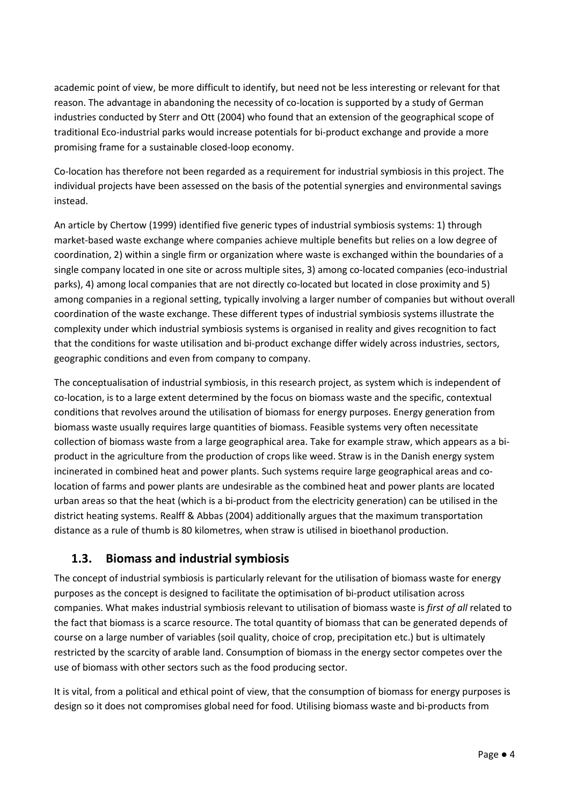academic point of view, be more difficult to identify, but need not be less interesting or relevant for that reason. The advantage in abandoning the necessity of co-location is supported by a study of German industries conducted by Sterr and Ott (2004) who found that an extension of the geographical scope of traditional Eco-industrial parks would increase potentials for bi-product exchange and provide a more promising frame for a sustainable closed-loop economy.

Co-location has therefore not been regarded as a requirement for industrial symbiosis in this project. The individual projects have been assessed on the basis of the potential synergies and environmental savings instead.

An article by Chertow (1999) identified five generic types of industrial symbiosis systems: 1) through market-based waste exchange where companies achieve multiple benefits but relies on a low degree of coordination, 2) within a single firm or organization where waste is exchanged within the boundaries of a single company located in one site or across multiple sites, 3) among co-located companies (eco-industrial parks), 4) among local companies that are not directly co-located but located in close proximity and 5) among companies in a regional setting, typically involving a larger number of companies but without overall coordination of the waste exchange. These different types of industrial symbiosis systems illustrate the complexity under which industrial symbiosis systems is organised in reality and gives recognition to fact that the conditions for waste utilisation and bi-product exchange differ widely across industries, sectors, geographic conditions and even from company to company.

The conceptualisation of industrial symbiosis, in this research project, as system which is independent of co-location, is to a large extent determined by the focus on biomass waste and the specific, contextual conditions that revolves around the utilisation of biomass for energy purposes. Energy generation from biomass waste usually requires large quantities of biomass. Feasible systems very often necessitate collection of biomass waste from a large geographical area. Take for example straw, which appears as a biproduct in the agriculture from the production of crops like weed. Straw is in the Danish energy system incinerated in combined heat and power plants. Such systems require large geographical areas and colocation of farms and power plants are undesirable as the combined heat and power plants are located urban areas so that the heat (which is a bi-product from the electricity generation) can be utilised in the district heating systems. Realff & Abbas (2004) additionally argues that the maximum transportation distance as a rule of thumb is 80 kilometres, when straw is utilised in bioethanol production.

# 1.3. Biomass and industrial symbiosis

The concept of industrial symbiosis is particularly relevant for the utilisation of biomass waste for energy purposes as the concept is designed to facilitate the optimisation of bi-product utilisation across companies. What makes industrial symbiosis relevant to utilisation of biomass waste is first of all related to the fact that biomass is a scarce resource. The total quantity of biomass that can be generated depends of course on a large number of variables (soil quality, choice of crop, precipitation etc.) but is ultimately restricted by the scarcity of arable land. Consumption of biomass in the energy sector competes over the use of biomass with other sectors such as the food producing sector.

It is vital, from a political and ethical point of view, that the consumption of biomass for energy purposes is design so it does not compromises global need for food. Utilising biomass waste and bi-products from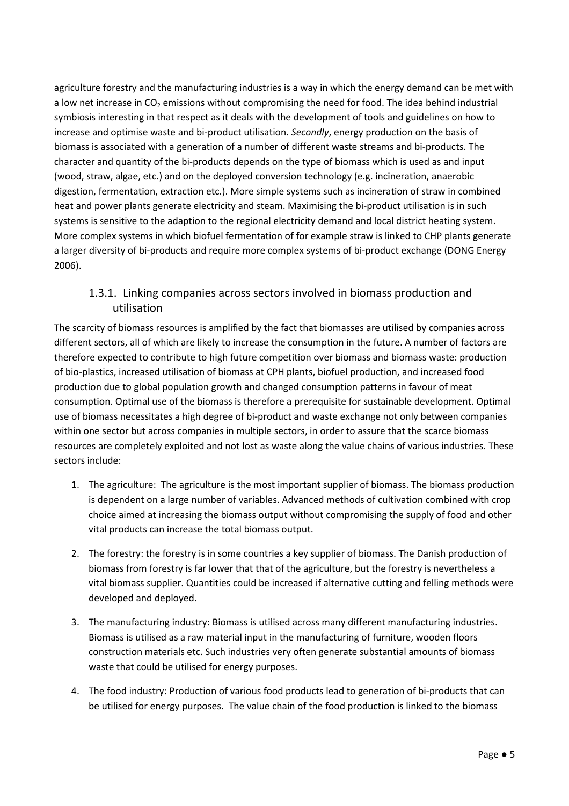agriculture forestry and the manufacturing industries is a way in which the energy demand can be met with a low net increase in  $CO<sub>2</sub>$  emissions without compromising the need for food. The idea behind industrial symbiosis interesting in that respect as it deals with the development of tools and guidelines on how to increase and optimise waste and bi-product utilisation. Secondly, energy production on the basis of biomass is associated with a generation of a number of different waste streams and bi-products. The character and quantity of the bi-products depends on the type of biomass which is used as and input (wood, straw, algae, etc.) and on the deployed conversion technology (e.g. incineration, anaerobic digestion, fermentation, extraction etc.). More simple systems such as incineration of straw in combined heat and power plants generate electricity and steam. Maximising the bi-product utilisation is in such systems is sensitive to the adaption to the regional electricity demand and local district heating system. More complex systems in which biofuel fermentation of for example straw is linked to CHP plants generate a larger diversity of bi-products and require more complex systems of bi-product exchange (DONG Energy 2006).

### 1.3.1. Linking companies across sectors involved in biomass production and utilisation

The scarcity of biomass resources is amplified by the fact that biomasses are utilised by companies across different sectors, all of which are likely to increase the consumption in the future. A number of factors are therefore expected to contribute to high future competition over biomass and biomass waste: production of bio-plastics, increased utilisation of biomass at CPH plants, biofuel production, and increased food production due to global population growth and changed consumption patterns in favour of meat consumption. Optimal use of the biomass is therefore a prerequisite for sustainable development. Optimal use of biomass necessitates a high degree of bi-product and waste exchange not only between companies within one sector but across companies in multiple sectors, in order to assure that the scarce biomass resources are completely exploited and not lost as waste along the value chains of various industries. These sectors include:

- 1. The agriculture: The agriculture is the most important supplier of biomass. The biomass production is dependent on a large number of variables. Advanced methods of cultivation combined with crop choice aimed at increasing the biomass output without compromising the supply of food and other vital products can increase the total biomass output.
- 2. The forestry: the forestry is in some countries a key supplier of biomass. The Danish production of biomass from forestry is far lower that that of the agriculture, but the forestry is nevertheless a vital biomass supplier. Quantities could be increased if alternative cutting and felling methods were developed and deployed.
- 3. The manufacturing industry: Biomass is utilised across many different manufacturing industries. Biomass is utilised as a raw material input in the manufacturing of furniture, wooden floors construction materials etc. Such industries very often generate substantial amounts of biomass waste that could be utilised for energy purposes.
- 4. The food industry: Production of various food products lead to generation of bi-products that can be utilised for energy purposes. The value chain of the food production is linked to the biomass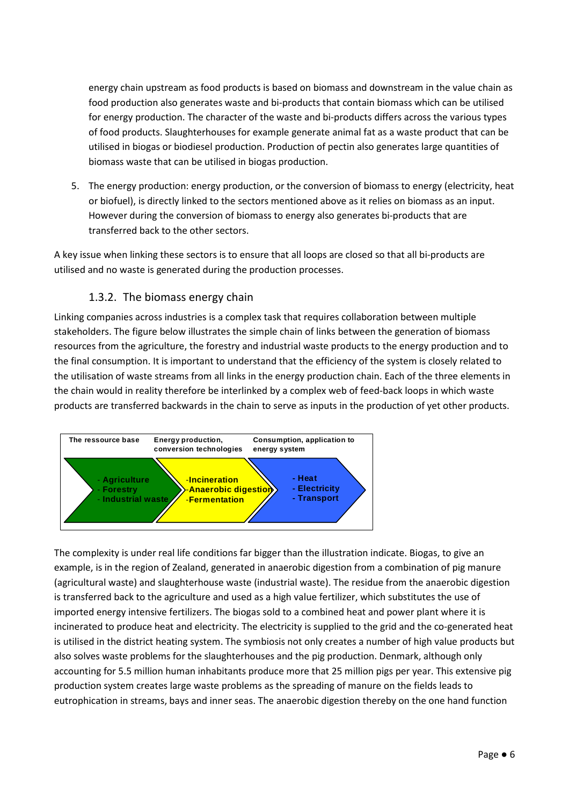energy chain upstream as food products is based on biomass and downstream in the value chain as food production also generates waste and bi-products that contain biomass which can be utilised for energy production. The character of the waste and bi-products differs across the various types of food products. Slaughterhouses for example generate animal fat as a waste product that can be utilised in biogas or biodiesel production. Production of pectin also generates large quantities of biomass waste that can be utilised in biogas production.

5. The energy production: energy production, or the conversion of biomass to energy (electricity, heat or biofuel), is directly linked to the sectors mentioned above as it relies on biomass as an input. However during the conversion of biomass to energy also generates bi-products that are transferred back to the other sectors.

A key issue when linking these sectors is to ensure that all loops are closed so that all bi-products are utilised and no waste is generated during the production processes.

#### 1.3.2. The biomass energy chain

Linking companies across industries is a complex task that requires collaboration between multiple stakeholders. The figure below illustrates the simple chain of links between the generation of biomass resources from the agriculture, the forestry and industrial waste products to the energy production and to the final consumption. It is important to understand that the efficiency of the system is closely related to the utilisation of waste streams from all links in the energy production chain. Each of the three elements in the chain would in reality therefore be interlinked by a complex web of feed-back loops in which waste products are transferred backwards in the chain to serve as inputs in the production of yet other products.



The complexity is under real life conditions far bigger than the illustration indicate. Biogas, to give an example, is in the region of Zealand, generated in anaerobic digestion from a combination of pig manure (agricultural waste) and slaughterhouse waste (industrial waste). The residue from the anaerobic digestion is transferred back to the agriculture and used as a high value fertilizer, which substitutes the use of imported energy intensive fertilizers. The biogas sold to a combined heat and power plant where it is incinerated to produce heat and electricity. The electricity is supplied to the grid and the co-generated heat is utilised in the district heating system. The symbiosis not only creates a number of high value products but also solves waste problems for the slaughterhouses and the pig production. Denmark, although only accounting for 5.5 million human inhabitants produce more that 25 million pigs per year. This extensive pig production system creates large waste problems as the spreading of manure on the fields leads to eutrophication in streams, bays and inner seas. The anaerobic digestion thereby on the one hand function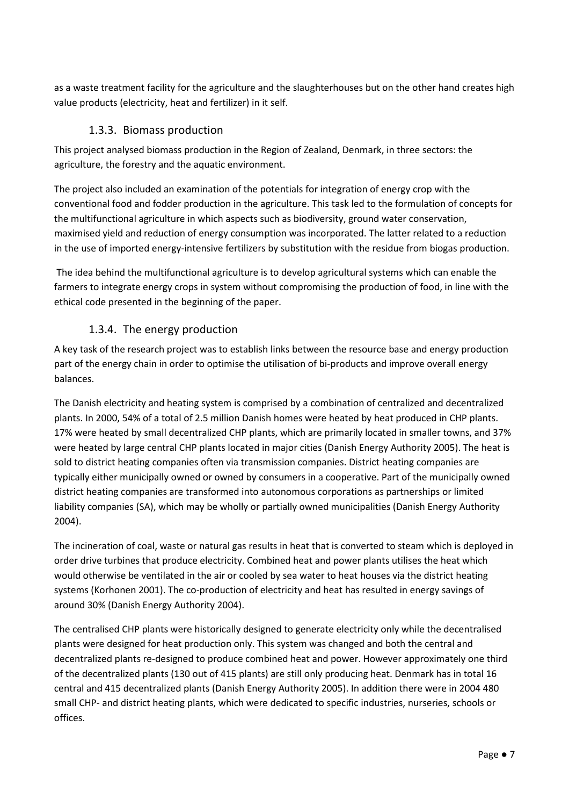as a waste treatment facility for the agriculture and the slaughterhouses but on the other hand creates high value products (electricity, heat and fertilizer) in it self.

### 1.3.3. Biomass production

This project analysed biomass production in the Region of Zealand, Denmark, in three sectors: the agriculture, the forestry and the aquatic environment.

The project also included an examination of the potentials for integration of energy crop with the conventional food and fodder production in the agriculture. This task led to the formulation of concepts for the multifunctional agriculture in which aspects such as biodiversity, ground water conservation, maximised yield and reduction of energy consumption was incorporated. The latter related to a reduction in the use of imported energy-intensive fertilizers by substitution with the residue from biogas production.

 The idea behind the multifunctional agriculture is to develop agricultural systems which can enable the farmers to integrate energy crops in system without compromising the production of food, in line with the ethical code presented in the beginning of the paper.

## 1.3.4. The energy production

A key task of the research project was to establish links between the resource base and energy production part of the energy chain in order to optimise the utilisation of bi-products and improve overall energy balances.

The Danish electricity and heating system is comprised by a combination of centralized and decentralized plants. In 2000, 54% of a total of 2.5 million Danish homes were heated by heat produced in CHP plants. 17% were heated by small decentralized CHP plants, which are primarily located in smaller towns, and 37% were heated by large central CHP plants located in major cities (Danish Energy Authority 2005). The heat is sold to district heating companies often via transmission companies. District heating companies are typically either municipally owned or owned by consumers in a cooperative. Part of the municipally owned district heating companies are transformed into autonomous corporations as partnerships or limited liability companies (SA), which may be wholly or partially owned municipalities (Danish Energy Authority 2004).

The incineration of coal, waste or natural gas results in heat that is converted to steam which is deployed in order drive turbines that produce electricity. Combined heat and power plants utilises the heat which would otherwise be ventilated in the air or cooled by sea water to heat houses via the district heating systems (Korhonen 2001). The co-production of electricity and heat has resulted in energy savings of around 30% (Danish Energy Authority 2004).

The centralised CHP plants were historically designed to generate electricity only while the decentralised plants were designed for heat production only. This system was changed and both the central and decentralized plants re-designed to produce combined heat and power. However approximately one third of the decentralized plants (130 out of 415 plants) are still only producing heat. Denmark has in total 16 central and 415 decentralized plants (Danish Energy Authority 2005). In addition there were in 2004 480 small CHP- and district heating plants, which were dedicated to specific industries, nurseries, schools or offices.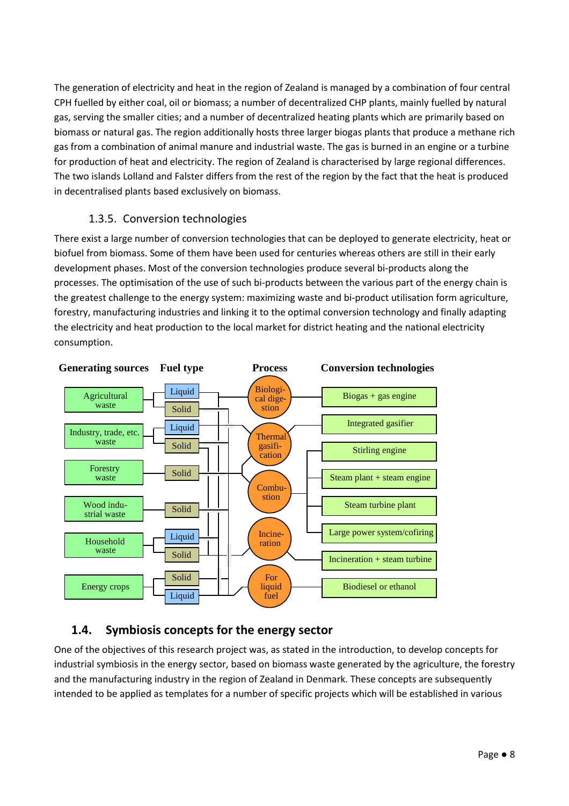The generation of electricity and heat in the region of Zealand is managed by a combination of four central CPH fuelled by either coal, oil or biomass; a number of decentralized CHP plants, mainly fuelled by natural gas, serving the smaller cities; and a number of decentralized heating plants which are primarily based on biomass or natural gas. The region additionally hosts three larger biogas plants that produce a methane rich gas from a combination of animal manure and industrial waste. The gas is burned in an engine or a turbine for production of heat and electricity. The region of Zealand is characterised by large regional differences. The two islands Lolland and Falster differs from the rest of the region by the fact that the heat is produced in decentralised plants based exclusively on biomass.

### 1.3.5. Conversion technologies

There exist a large number of conversion technologies that can be deployed to generate electricity, heat or biofuel from biomass. Some of them have been used for centuries whereas others are still in their early development phases. Most of the conversion technologies produce several bi-products along the processes. The optimisation of the use of such bi-products between the various part of the energy chain is the greatest challenge to the energy system: maximizing waste and bi-product utilisation form agriculture, forestry, manufacturing industries and linking it to the optimal conversion technology and finally adapting the electricity and heat production to the local market for district heating and the national electricity consumption.



# 1.4. Symbiosis concepts for the energy sector

One of the objectives of this research project was, as stated in the introduction, to develop concepts for industrial symbiosis in the energy sector, based on biomass waste generated by the agriculture, the forestry and the manufacturing industry in the region of Zealand in Denmark. These concepts are subsequently intended to be applied as templates for a number of specific projects which will be established in various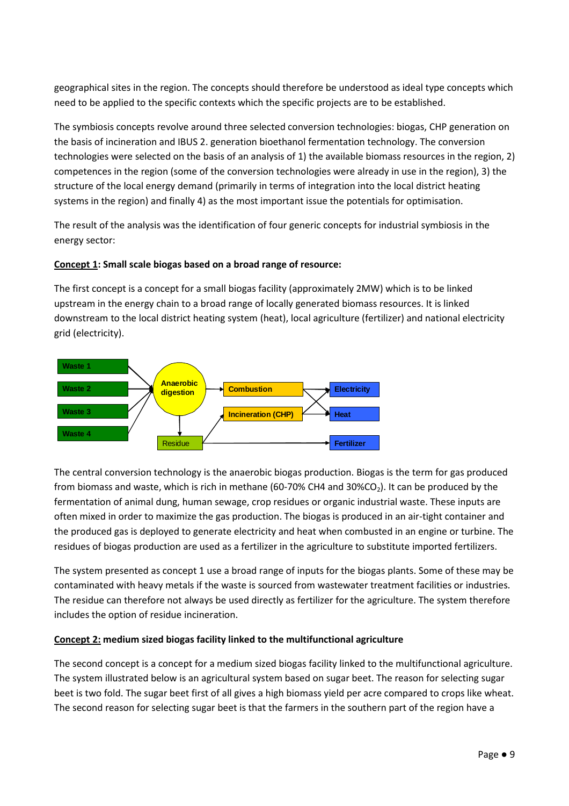geographical sites in the region. The concepts should therefore be understood as ideal type concepts which need to be applied to the specific contexts which the specific projects are to be established.

The symbiosis concepts revolve around three selected conversion technologies: biogas, CHP generation on the basis of incineration and IBUS 2. generation bioethanol fermentation technology. The conversion technologies were selected on the basis of an analysis of 1) the available biomass resources in the region, 2) competences in the region (some of the conversion technologies were already in use in the region), 3) the structure of the local energy demand (primarily in terms of integration into the local district heating systems in the region) and finally 4) as the most important issue the potentials for optimisation.

The result of the analysis was the identification of four generic concepts for industrial symbiosis in the energy sector:

#### Concept 1: Small scale biogas based on a broad range of resource:

The first concept is a concept for a small biogas facility (approximately 2MW) which is to be linked upstream in the energy chain to a broad range of locally generated biomass resources. It is linked downstream to the local district heating system (heat), local agriculture (fertilizer) and national electricity grid (electricity).



The central conversion technology is the anaerobic biogas production. Biogas is the term for gas produced from biomass and waste, which is rich in methane (60-70% CH4 and 30%CO<sub>2</sub>). It can be produced by the fermentation of animal dung, human sewage, crop residues or organic industrial waste. These inputs are often mixed in order to maximize the gas production. The biogas is produced in an air-tight container and the produced gas is deployed to generate electricity and heat when combusted in an engine or turbine. The residues of biogas production are used as a fertilizer in the agriculture to substitute imported fertilizers.

The system presented as concept 1 use a broad range of inputs for the biogas plants. Some of these may be contaminated with heavy metals if the waste is sourced from wastewater treatment facilities or industries. The residue can therefore not always be used directly as fertilizer for the agriculture. The system therefore includes the option of residue incineration.

#### Concept 2: medium sized biogas facility linked to the multifunctional agriculture

The second concept is a concept for a medium sized biogas facility linked to the multifunctional agriculture. The system illustrated below is an agricultural system based on sugar beet. The reason for selecting sugar beet is two fold. The sugar beet first of all gives a high biomass yield per acre compared to crops like wheat. The second reason for selecting sugar beet is that the farmers in the southern part of the region have a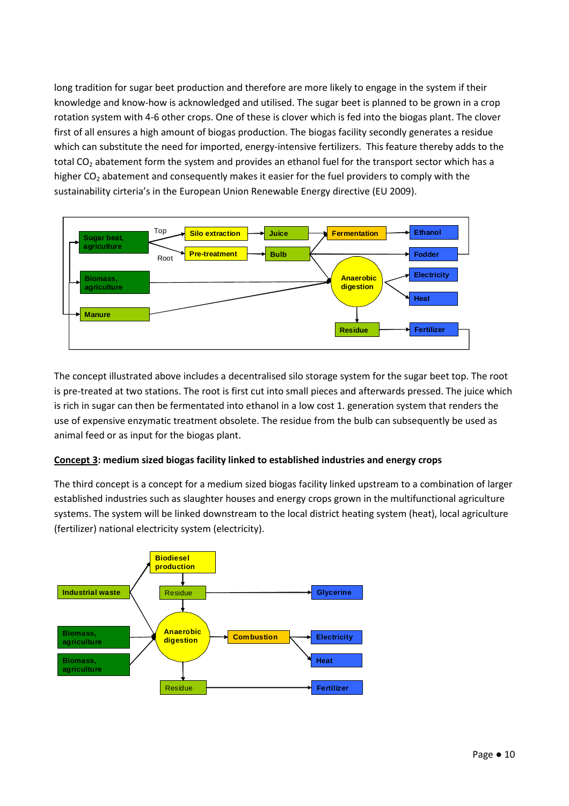long tradition for sugar beet production and therefore are more likely to engage in the system if their knowledge and know-how is acknowledged and utilised. The sugar beet is planned to be grown in a crop rotation system with 4-6 other crops. One of these is clover which is fed into the biogas plant. The clover first of all ensures a high amount of biogas production. The biogas facility secondly generates a residue which can substitute the need for imported, energy-intensive fertilizers. This feature thereby adds to the total CO<sub>2</sub> abatement form the system and provides an ethanol fuel for the transport sector which has a higher  $CO<sub>2</sub>$  abatement and consequently makes it easier for the fuel providers to comply with the sustainability cirteria's in the European Union Renewable Energy directive (EU 2009).



The concept illustrated above includes a decentralised silo storage system for the sugar beet top. The root is pre-treated at two stations. The root is first cut into small pieces and afterwards pressed. The juice which is rich in sugar can then be fermentated into ethanol in a low cost 1. generation system that renders the use of expensive enzymatic treatment obsolete. The residue from the bulb can subsequently be used as animal feed or as input for the biogas plant.

#### Concept 3: medium sized biogas facility linked to established industries and energy crops

The third concept is a concept for a medium sized biogas facility linked upstream to a combination of larger established industries such as slaughter houses and energy crops grown in the multifunctional agriculture systems. The system will be linked downstream to the local district heating system (heat), local agriculture (fertilizer) national electricity system (electricity).

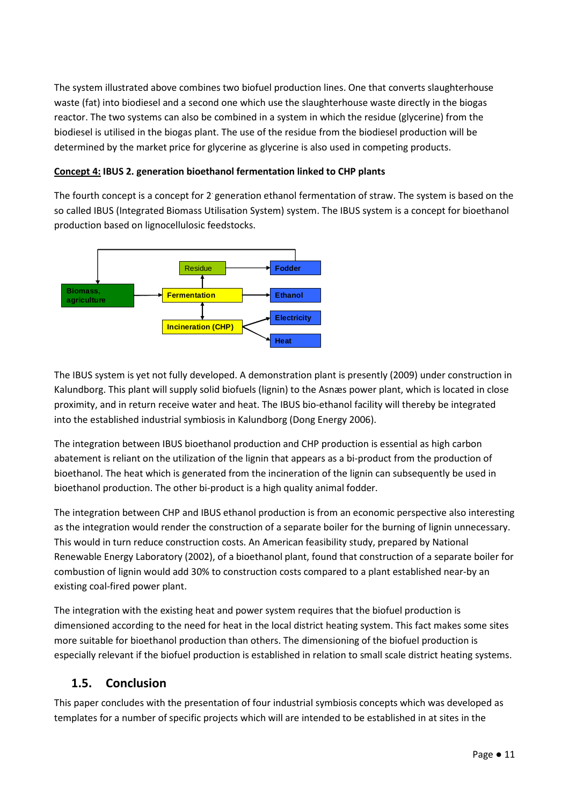The system illustrated above combines two biofuel production lines. One that converts slaughterhouse waste (fat) into biodiesel and a second one which use the slaughterhouse waste directly in the biogas reactor. The two systems can also be combined in a system in which the residue (glycerine) from the biodiesel is utilised in the biogas plant. The use of the residue from the biodiesel production will be determined by the market price for glycerine as glycerine is also used in competing products.

#### Concept 4: IBUS 2. generation bioethanol fermentation linked to CHP plants

The fourth concept is a concept for 2 generation ethanol fermentation of straw. The system is based on the so called IBUS (Integrated Biomass Utilisation System) system. The IBUS system is a concept for bioethanol production based on lignocellulosic feedstocks.



The IBUS system is yet not fully developed. A demonstration plant is presently (2009) under construction in Kalundborg. This plant will supply solid biofuels (lignin) to the Asnæs power plant, which is located in close proximity, and in return receive water and heat. The IBUS bio-ethanol facility will thereby be integrated into the established industrial symbiosis in Kalundborg (Dong Energy 2006).

The integration between IBUS bioethanol production and CHP production is essential as high carbon abatement is reliant on the utilization of the lignin that appears as a bi-product from the production of bioethanol. The heat which is generated from the incineration of the lignin can subsequently be used in bioethanol production. The other bi-product is a high quality animal fodder.

The integration between CHP and IBUS ethanol production is from an economic perspective also interesting as the integration would render the construction of a separate boiler for the burning of lignin unnecessary. This would in turn reduce construction costs. An American feasibility study, prepared by National Renewable Energy Laboratory (2002), of a bioethanol plant, found that construction of a separate boiler for combustion of lignin would add 30% to construction costs compared to a plant established near-by an existing coal-fired power plant.

The integration with the existing heat and power system requires that the biofuel production is dimensioned according to the need for heat in the local district heating system. This fact makes some sites more suitable for bioethanol production than others. The dimensioning of the biofuel production is especially relevant if the biofuel production is established in relation to small scale district heating systems.

#### 1.5. Conclusion

This paper concludes with the presentation of four industrial symbiosis concepts which was developed as templates for a number of specific projects which will are intended to be established in at sites in the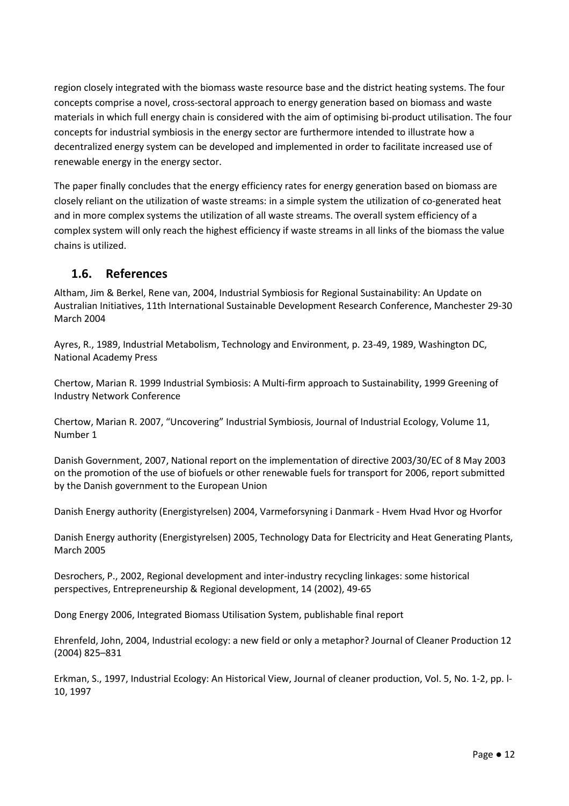region closely integrated with the biomass waste resource base and the district heating systems. The four concepts comprise a novel, cross-sectoral approach to energy generation based on biomass and waste materials in which full energy chain is considered with the aim of optimising bi-product utilisation. The four concepts for industrial symbiosis in the energy sector are furthermore intended to illustrate how a decentralized energy system can be developed and implemented in order to facilitate increased use of renewable energy in the energy sector.

The paper finally concludes that the energy efficiency rates for energy generation based on biomass are closely reliant on the utilization of waste streams: in a simple system the utilization of co-generated heat and in more complex systems the utilization of all waste streams. The overall system efficiency of a complex system will only reach the highest efficiency if waste streams in all links of the biomass the value chains is utilized.

## 1.6. References

Altham, Jim & Berkel, Rene van, 2004, Industrial Symbiosis for Regional Sustainability: An Update on Australian Initiatives, 11th International Sustainable Development Research Conference, Manchester 29-30 March 2004

Ayres, R., 1989, Industrial Metabolism, Technology and Environment, p. 23-49, 1989, Washington DC, National Academy Press

Chertow, Marian R. 1999 Industrial Symbiosis: A Multi-firm approach to Sustainability, 1999 Greening of Industry Network Conference

Chertow, Marian R. 2007, "Uncovering" Industrial Symbiosis, Journal of Industrial Ecology, Volume 11, Number 1

Danish Government, 2007, National report on the implementation of directive 2003/30/EC of 8 May 2003 on the promotion of the use of biofuels or other renewable fuels for transport for 2006, report submitted by the Danish government to the European Union

Danish Energy authority (Energistyrelsen) 2004, Varmeforsyning i Danmark - Hvem Hvad Hvor og Hvorfor

Danish Energy authority (Energistyrelsen) 2005, Technology Data for Electricity and Heat Generating Plants, March 2005

Desrochers, P., 2002, Regional development and inter-industry recycling linkages: some historical perspectives, Entrepreneurship & Regional development, 14 (2002), 49-65

Dong Energy 2006, Integrated Biomass Utilisation System, publishable final report

Ehrenfeld, John, 2004, Industrial ecology: a new field or only a metaphor? Journal of Cleaner Production 12 (2004) 825–831

Erkman, S., 1997, Industrial Ecology: An Historical View, Journal of cleaner production, Vol. 5, No. 1-2, pp. l-10, 1997